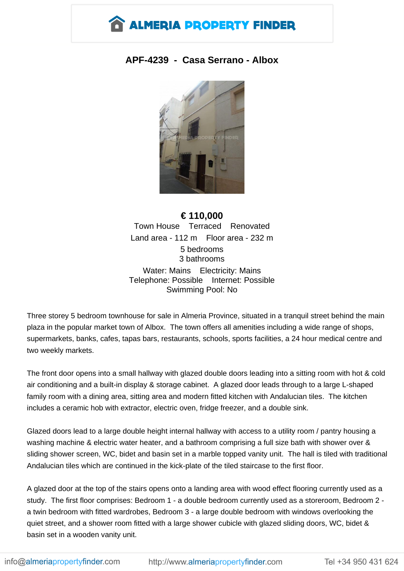

## **APF-4239 - Casa Serrano - Albox**



**€ 110,000** Town House Terraced Renovated Land area - 112 m Floor area - 232 m 5 bedrooms 3 bathrooms Water: Mains Electricity: Mains Telephone: Possible Internet: Possible Swimming Pool: No

Three storey 5 bedroom townhouse for sale in Almeria Province, situated in a tranquil street behind the main plaza in the popular market town of Albox. The town offers all amenities including a wide range of shops, supermarkets, banks, cafes, tapas bars, restaurants, schools, sports facilities, a 24 hour medical centre and two weekly markets.

The front door opens into a small hallway with glazed double doors leading into a sitting room with hot & cold air conditioning and a built-in display & storage cabinet. A glazed door leads through to a large L-shaped family room with a dining area, sitting area and modern fitted kitchen with Andalucian tiles. The kitchen includes a ceramic hob with extractor, electric oven, fridge freezer, and a double sink.

Glazed doors lead to a large double height internal hallway with access to a utility room / pantry housing a washing machine & electric water heater, and a bathroom comprising a full size bath with shower over & sliding shower screen, WC, bidet and basin set in a marble topped vanity unit. The hall is tiled with traditional Andalucian tiles which are continued in the kick-plate of the tiled staircase to the first floor.

A glazed door at the top of the stairs opens onto a landing area with wood effect flooring currently used as a study. The first floor comprises: Bedroom 1 - a double bedroom currently used as a storeroom, Bedroom 2 a twin bedroom with fitted wardrobes, Bedroom 3 - a large double bedroom with windows overlooking the quiet street, and a shower room fitted with a large shower cubicle with glazed sliding doors, WC, bidet & basin set in a wooden vanity unit.